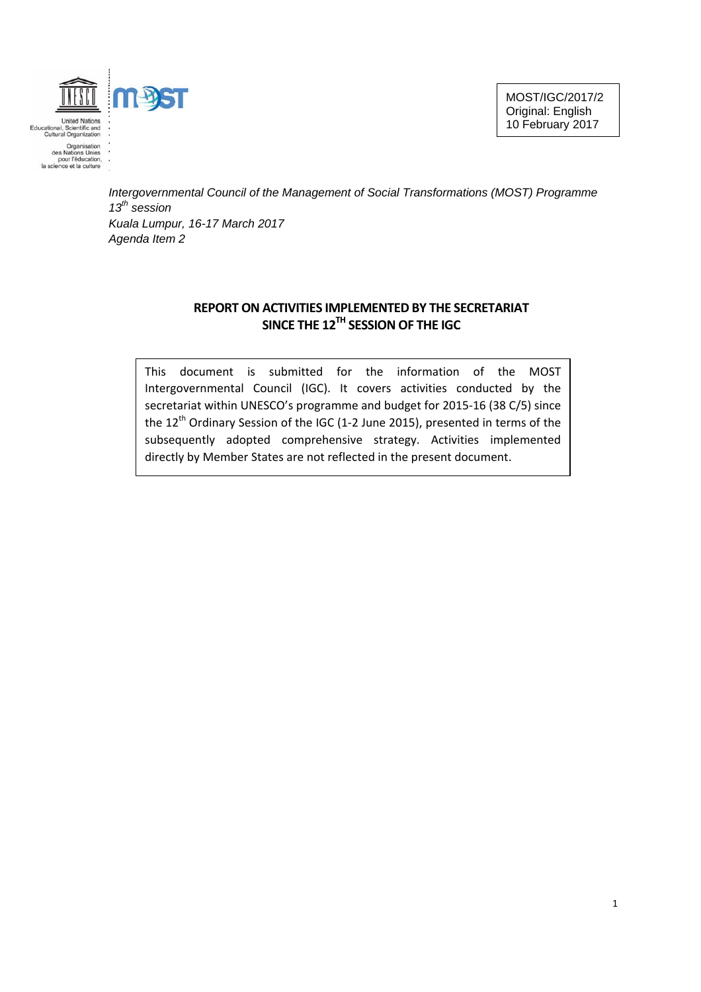

*Intergovernmental Council of the Management of Social Transformations (MOST) Programme 13th session Kuala Lumpur, 16-17 March 2017 Agenda Item 2*

# **REPORT ON ACTIVITIES IMPLEMENTED BY THE SECRETARIAT SINCE THE 12TH SESSION OF THE IGC**

This document is submitted for the information of the MOST Intergovernmental Council (IGC). It covers activities conducted by the secretariat within UNESCO's programme and budget for 2015‐16 (38 C/5) since the 12<sup>th</sup> Ordinary Session of the IGC (1-2 June 2015), presented in terms of the subsequently adopted comprehensive strategy. Activities implemented directly by Member States are not reflected in the present document.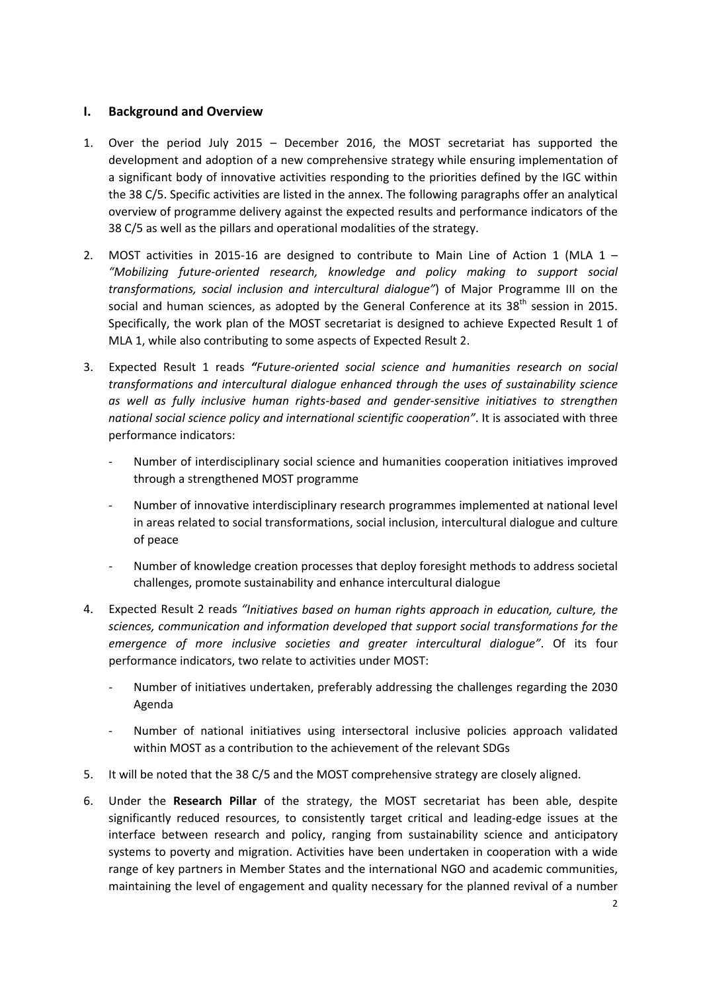### **I. Background and Overview**

- 1. Over the period July 2015 December 2016, the MOST secretariat has supported the development and adoption of a new comprehensive strategy while ensuring implementation of a significant body of innovative activities responding to the priorities defined by the IGC within the 38 C/5. Specific activities are listed in the annex. The following paragraphs offer an analytical overview of programme delivery against the expected results and performance indicators of the 38 C/5 as well as the pillars and operational modalities of the strategy.
- 2. MOST activities in 2015-16 are designed to contribute to Main Line of Action 1 (MLA  $1$  *"Mobilizing future‐oriented research, knowledge and policy making to support social transformations, social inclusion and intercultural dialogue"*) of Major Programme III on the social and human sciences, as adopted by the General Conference at its  $38<sup>th</sup>$  session in 2015. Specifically, the work plan of the MOST secretariat is designed to achieve Expected Result 1 of MLA 1, while also contributing to some aspects of Expected Result 2.
- 3. Expected Result 1 reads *"Future‐oriented social science and humanities research on social transformations and intercultural dialogue enhanced through the uses of sustainability science as well as fully inclusive human rights‐based and gender‐sensitive initiatives to strengthen national social science policy and international scientific cooperation"*. It is associated with three performance indicators:
	- ‐ Number of interdisciplinary social science and humanities cooperation initiatives improved through a strengthened MOST programme
	- ‐ Number of innovative interdisciplinary research programmes implemented at national level in areas related to social transformations, social inclusion, intercultural dialogue and culture of peace
	- ‐ Number of knowledge creation processes that deploy foresight methods to address societal challenges, promote sustainability and enhance intercultural dialogue
- 4. Expected Result 2 reads *"Initiatives based on human rights approach in education, culture, the sciences, communication and information developed that support social transformations for the emergence of more inclusive societies and greater intercultural dialogue"*. Of its four performance indicators, two relate to activities under MOST:
	- ‐ Number of initiatives undertaken, preferably addressing the challenges regarding the 2030 Agenda
	- ‐ Number of national initiatives using intersectoral inclusive policies approach validated within MOST as a contribution to the achievement of the relevant SDGs
- 5. It will be noted that the 38 C/5 and the MOST comprehensive strategy are closely aligned.
- 6. Under the **Research Pillar** of the strategy, the MOST secretariat has been able, despite significantly reduced resources, to consistently target critical and leading-edge issues at the interface between research and policy, ranging from sustainability science and anticipatory systems to poverty and migration. Activities have been undertaken in cooperation with a wide range of key partners in Member States and the international NGO and academic communities, maintaining the level of engagement and quality necessary for the planned revival of a number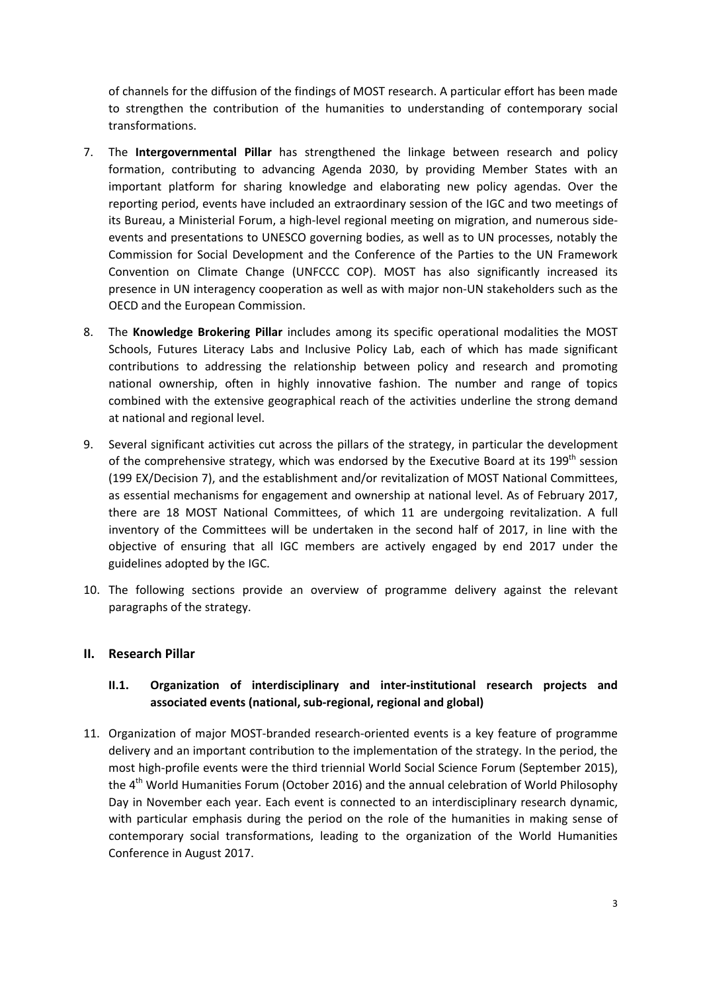of channels for the diffusion of the findings of MOST research. A particular effort has been made to strengthen the contribution of the humanities to understanding of contemporary social transformations.

- 7. The **Intergovernmental Pillar** has strengthened the linkage between research and policy formation, contributing to advancing Agenda 2030, by providing Member States with an important platform for sharing knowledge and elaborating new policy agendas. Over the reporting period, events have included an extraordinary session of the IGC and two meetings of its Bureau, a Ministerial Forum, a high‐level regional meeting on migration, and numerous side‐ events and presentations to UNESCO governing bodies, as well as to UN processes, notably the Commission for Social Development and the Conference of the Parties to the UN Framework Convention on Climate Change (UNFCCC COP). MOST has also significantly increased its presence in UN interagency cooperation as well as with major non‐UN stakeholders such as the OECD and the European Commission.
- 8. The **Knowledge Brokering Pillar** includes among its specific operational modalities the MOST Schools, Futures Literacy Labs and Inclusive Policy Lab, each of which has made significant contributions to addressing the relationship between policy and research and promoting national ownership, often in highly innovative fashion. The number and range of topics combined with the extensive geographical reach of the activities underline the strong demand at national and regional level.
- 9. Several significant activities cut across the pillars of the strategy, in particular the development of the comprehensive strategy, which was endorsed by the Executive Board at its 199<sup>th</sup> session (199 EX/Decision 7), and the establishment and/or revitalization of MOST National Committees, as essential mechanisms for engagement and ownership at national level. As of February 2017, there are 18 MOST National Committees, of which 11 are undergoing revitalization. A full inventory of the Committees will be undertaken in the second half of 2017, in line with the objective of ensuring that all IGC members are actively engaged by end 2017 under the guidelines adopted by the IGC.
- 10. The following sections provide an overview of programme delivery against the relevant paragraphs of the strategy.

## **II. Research Pillar**

## **II.1. Organization of interdisciplinary and inter‐institutional research projects and associated events (national, sub‐regional, regional and global)**

11. Organization of major MOST-branded research-oriented events is a key feature of programme delivery and an important contribution to the implementation of the strategy. In the period, the most high-profile events were the third triennial World Social Science Forum (September 2015), the 4<sup>th</sup> World Humanities Forum (October 2016) and the annual celebration of World Philosophy Day in November each year. Each event is connected to an interdisciplinary research dynamic, with particular emphasis during the period on the role of the humanities in making sense of contemporary social transformations, leading to the organization of the World Humanities Conference in August 2017.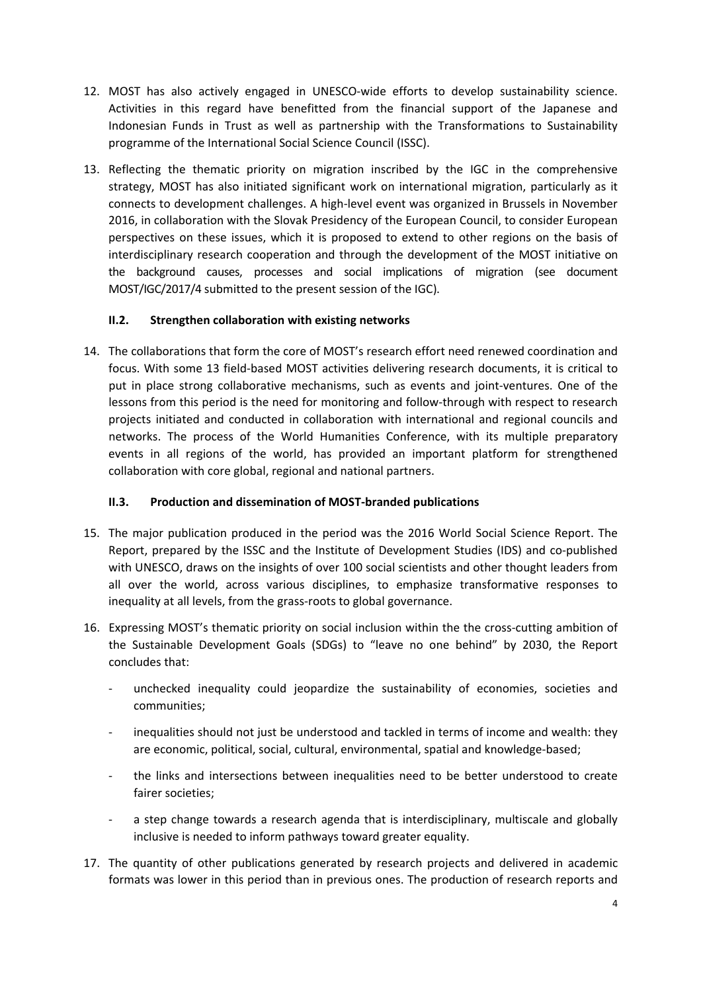- 12. MOST has also actively engaged in UNESCO‐wide efforts to develop sustainability science. Activities in this regard have benefitted from the financial support of the Japanese and Indonesian Funds in Trust as well as partnership with the Transformations to Sustainability programme of the International Social Science Council (ISSC).
- 13. Reflecting the thematic priority on migration inscribed by the IGC in the comprehensive strategy, MOST has also initiated significant work on international migration, particularly as it connects to development challenges. A high‐level event was organized in Brussels in November 2016, in collaboration with the Slovak Presidency of the European Council, to consider European perspectives on these issues, which it is proposed to extend to other regions on the basis of interdisciplinary research cooperation and through the development of the MOST initiative on the background causes, processes and social implications of migration (see document MOST/IGC/2017/4 submitted to the present session of the IGC).

## **II.2. Strengthen collaboration with existing networks**

14. The collaborations that form the core of MOST's research effort need renewed coordination and focus. With some 13 field‐based MOST activities delivering research documents, it is critical to put in place strong collaborative mechanisms, such as events and joint-ventures. One of the lessons from this period is the need for monitoring and follow-through with respect to research projects initiated and conducted in collaboration with international and regional councils and networks. The process of the World Humanities Conference, with its multiple preparatory events in all regions of the world, has provided an important platform for strengthened collaboration with core global, regional and national partners.

#### **II.3. Production and dissemination of MOST‐branded publications**

- 15. The major publication produced in the period was the 2016 World Social Science Report. The Report, prepared by the ISSC and the Institute of Development Studies (IDS) and co‐published with UNESCO, draws on the insights of over 100 social scientists and other thought leaders from all over the world, across various disciplines, to emphasize transformative responses to inequality at all levels, from the grass‐roots to global governance.
- 16. Expressing MOST's thematic priority on social inclusion within the the cross-cutting ambition of the Sustainable Development Goals (SDGs) to "leave no one behind" by 2030, the Report concludes that:
	- ‐ unchecked inequality could jeopardize the sustainability of economies, societies and communities;
	- inequalities should not just be understood and tackled in terms of income and wealth: they are economic, political, social, cultural, environmental, spatial and knowledge‐based;
	- ‐ the links and intersections between inequalities need to be better understood to create fairer societies;
	- ‐ a step change towards a research agenda that is interdisciplinary, multiscale and globally inclusive is needed to inform pathways toward greater equality.
- 17. The quantity of other publications generated by research projects and delivered in academic formats was lower in this period than in previous ones. The production of research reports and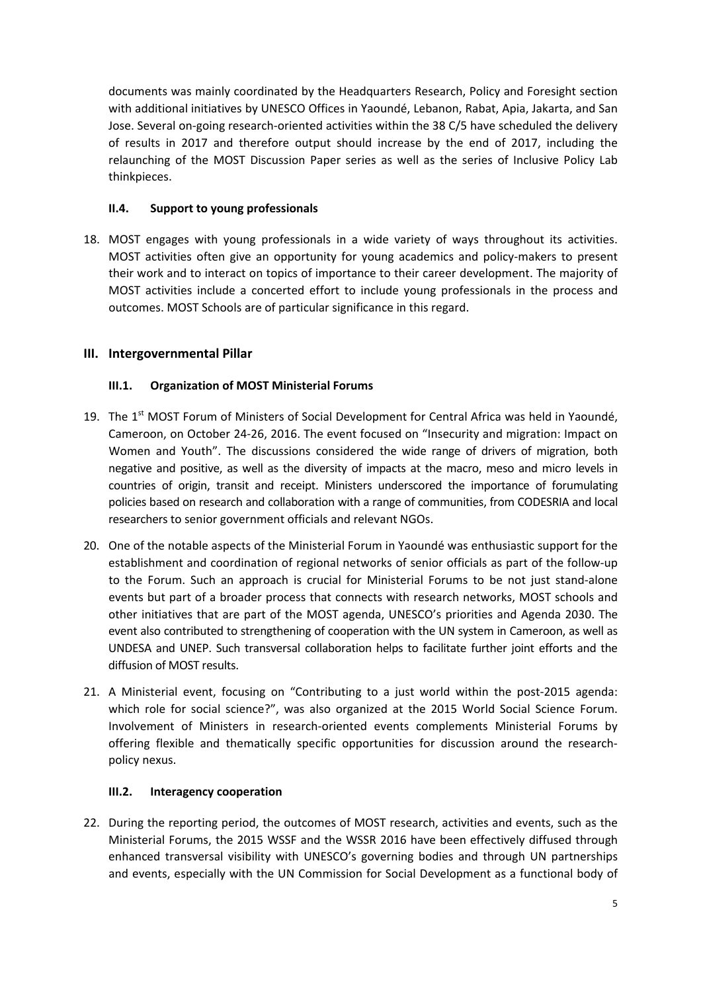documents was mainly coordinated by the Headquarters Research, Policy and Foresight section with additional initiatives by UNESCO Offices in Yaoundé, Lebanon, Rabat, Apia, Jakarta, and San Jose. Several on‐going research‐oriented activities within the 38 C/5 have scheduled the delivery of results in 2017 and therefore output should increase by the end of 2017, including the relaunching of the MOST Discussion Paper series as well as the series of Inclusive Policy Lab thinkpieces.

## **II.4. Support to young professionals**

18. MOST engages with young professionals in a wide variety of ways throughout its activities. MOST activities often give an opportunity for young academics and policy-makers to present their work and to interact on topics of importance to their career development. The majority of MOST activities include a concerted effort to include young professionals in the process and outcomes. MOST Schools are of particular significance in this regard.

# **III. Intergovernmental Pillar**

# **III.1. Organization of MOST Ministerial Forums**

- 19. The 1<sup>st</sup> MOST Forum of Ministers of Social Development for Central Africa was held in Yaoundé, Cameroon, on October 24‐26, 2016. The event focused on "Insecurity and migration: Impact on Women and Youth". The discussions considered the wide range of drivers of migration, both negative and positive, as well as the diversity of impacts at the macro, meso and micro levels in countries of origin, transit and receipt. Ministers underscored the importance of forumulating policies based on research and collaboration with a range of communities, from CODESRIA and local researchers to senior government officials and relevant NGOs.
- 20. One of the notable aspects of the Ministerial Forum in Yaoundé was enthusiastic support for the establishment and coordination of regional networks of senior officials as part of the follow‐up to the Forum. Such an approach is crucial for Ministerial Forums to be not just stand‐alone events but part of a broader process that connects with research networks, MOST schools and other initiatives that are part of the MOST agenda, UNESCO's priorities and Agenda 2030. The event also contributed to strengthening of cooperation with the UN system in Cameroon, as well as UNDESA and UNEP. Such transversal collaboration helps to facilitate further joint efforts and the diffusion of MOST results.
- 21. A Ministerial event, focusing on "Contributing to a just world within the post‐2015 agenda: which role for social science?", was also organized at the 2015 World Social Science Forum. Involvement of Ministers in research‐oriented events complements Ministerial Forums by offering flexible and thematically specific opportunities for discussion around the research‐ policy nexus.

## **III.2. Interagency cooperation**

22. During the reporting period, the outcomes of MOST research, activities and events, such as the Ministerial Forums, the 2015 WSSF and the WSSR 2016 have been effectively diffused through enhanced transversal visibility with UNESCO's governing bodies and through UN partnerships and events, especially with the UN Commission for Social Development as a functional body of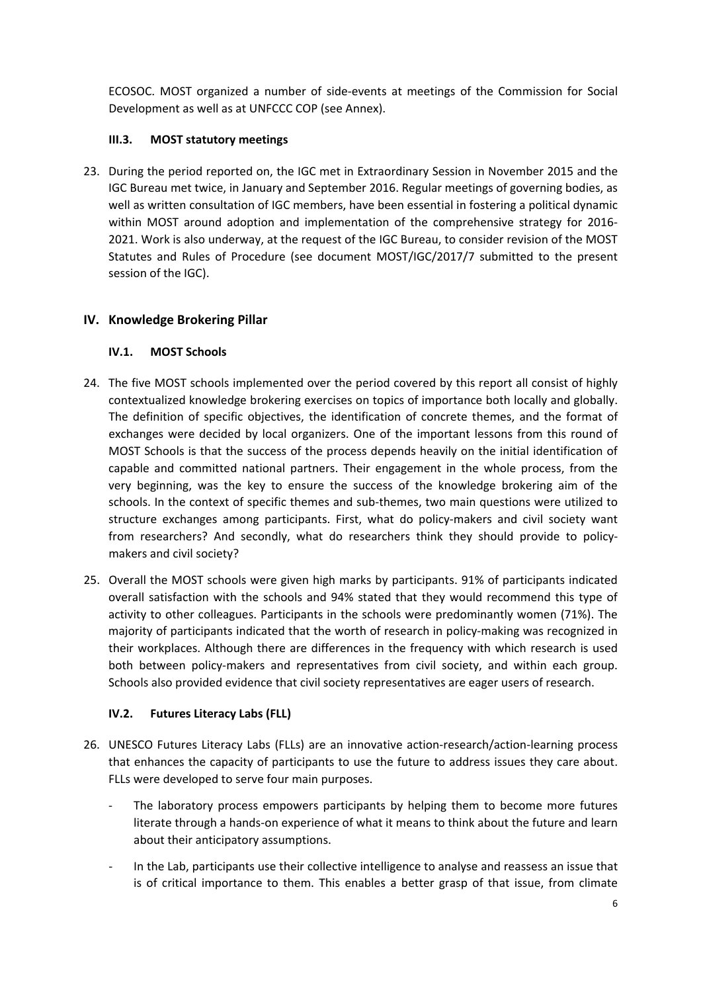ECOSOC. MOST organized a number of side‐events at meetings of the Commission for Social Development as well as at UNFCCC COP (see Annex).

# **III.3. MOST statutory meetings**

23. During the period reported on, the IGC met in Extraordinary Session in November 2015 and the IGC Bureau met twice, in January and September 2016. Regular meetings of governing bodies, as well as written consultation of IGC members, have been essential in fostering a political dynamic within MOST around adoption and implementation of the comprehensive strategy for 2016‐ 2021. Work is also underway, at the request of the IGC Bureau, to consider revision of the MOST Statutes and Rules of Procedure (see document MOST/IGC/2017/7 submitted to the present session of the IGC).

# **IV. Knowledge Brokering Pillar**

## **IV.1. MOST Schools**

- 24. The five MOST schools implemented over the period covered by this report all consist of highly contextualized knowledge brokering exercises on topics of importance both locally and globally. The definition of specific objectives, the identification of concrete themes, and the format of exchanges were decided by local organizers. One of the important lessons from this round of MOST Schools is that the success of the process depends heavily on the initial identification of capable and committed national partners. Their engagement in the whole process, from the very beginning, was the key to ensure the success of the knowledge brokering aim of the schools. In the context of specific themes and sub-themes, two main questions were utilized to structure exchanges among participants. First, what do policy-makers and civil society want from researchers? And secondly, what do researchers think they should provide to policymakers and civil society?
- 25. Overall the MOST schools were given high marks by participants. 91% of participants indicated overall satisfaction with the schools and 94% stated that they would recommend this type of activity to other colleagues. Participants in the schools were predominantly women (71%). The majority of participants indicated that the worth of research in policy-making was recognized in their workplaces. Although there are differences in the frequency with which research is used both between policy-makers and representatives from civil society, and within each group. Schools also provided evidence that civil society representatives are eager users of research.

## **IV.2. Futures Literacy Labs (FLL)**

- 26. UNESCO Futures Literacy Labs (FLLs) are an innovative action‐research/action‐learning process that enhances the capacity of participants to use the future to address issues they care about. FLLs were developed to serve four main purposes.
	- The laboratory process empowers participants by helping them to become more futures literate through a hands‐on experience of what it means to think about the future and learn about their anticipatory assumptions.
	- ‐ In the Lab, participants use their collective intelligence to analyse and reassess an issue that is of critical importance to them. This enables a better grasp of that issue, from climate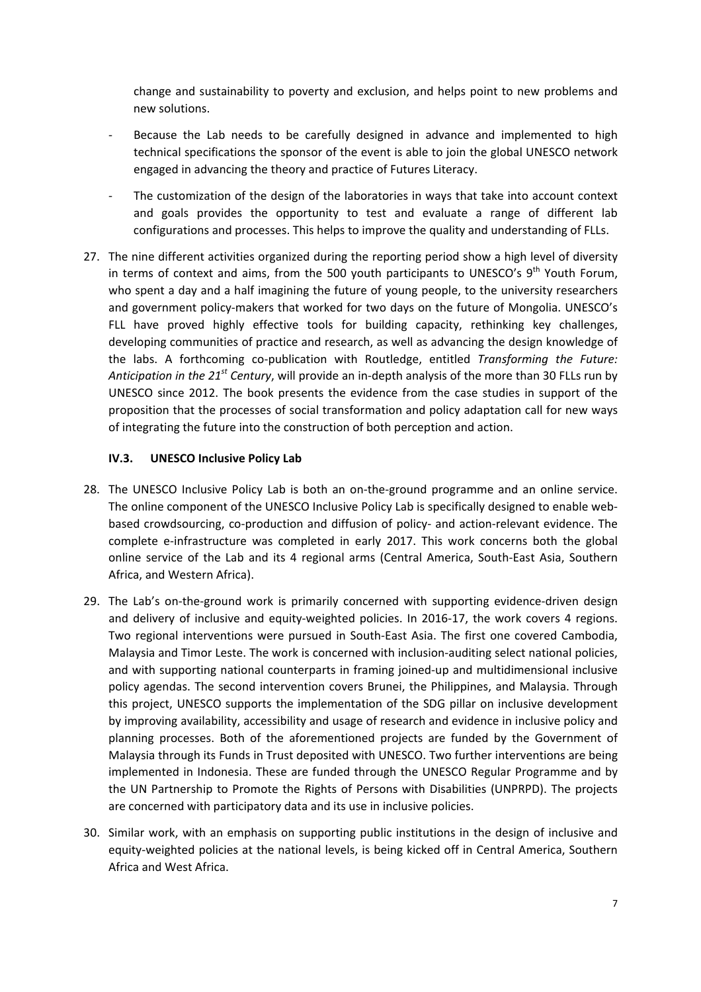change and sustainability to poverty and exclusion, and helps point to new problems and new solutions.

- Because the Lab needs to be carefully designed in advance and implemented to high technical specifications the sponsor of the event is able to join the global UNESCO network engaged in advancing the theory and practice of Futures Literacy.
- The customization of the design of the laboratories in ways that take into account context and goals provides the opportunity to test and evaluate a range of different lab configurations and processes. This helps to improve the quality and understanding of FLLs.
- 27. The nine different activities organized during the reporting period show a high level of diversity in terms of context and aims, from the 500 youth participants to UNESCO's  $9<sup>th</sup>$  Youth Forum, who spent a day and a half imagining the future of young people, to the university researchers and government policy-makers that worked for two days on the future of Mongolia. UNESCO's FLL have proved highly effective tools for building capacity, rethinking key challenges, developing communities of practice and research, as well as advancing the design knowledge of the labs. A forthcoming co‐publication with Routledge, entitled *Transforming the Future: Anticipation in the 21st Century*, will provide an in‐depth analysis of the more than 30 FLLs run by UNESCO since 2012. The book presents the evidence from the case studies in support of the proposition that the processes of social transformation and policy adaptation call for new ways of integrating the future into the construction of both perception and action.

### **IV.3. UNESCO Inclusive Policy Lab**

- 28. The UNESCO Inclusive Policy Lab is both an on-the-ground programme and an online service. The online component of the UNESCO Inclusive Policy Lab is specifically designed to enable web‐ based crowdsourcing, co-production and diffusion of policy- and action-relevant evidence. The complete e-infrastructure was completed in early 2017. This work concerns both the global online service of the Lab and its 4 regional arms (Central America, South‐East Asia, Southern Africa, and Western Africa).
- 29. The Lab's on-the-ground work is primarily concerned with supporting evidence-driven design and delivery of inclusive and equity-weighted policies. In 2016-17, the work covers 4 regions. Two regional interventions were pursued in South‐East Asia. The first one covered Cambodia, Malaysia and Timor Leste. The work is concerned with inclusion‐auditing select national policies, and with supporting national counterparts in framing joined‐up and multidimensional inclusive policy agendas. The second intervention covers Brunei, the Philippines, and Malaysia. Through this project, UNESCO supports the implementation of the SDG pillar on inclusive development by improving availability, accessibility and usage of research and evidence in inclusive policy and planning processes. Both of the aforementioned projects are funded by the Government of Malaysia through its Funds in Trust deposited with UNESCO. Two further interventions are being implemented in Indonesia. These are funded through the UNESCO Regular Programme and by the UN Partnership to Promote the Rights of Persons with Disabilities (UNPRPD). The projects are concerned with participatory data and its use in inclusive policies.
- 30. Similar work, with an emphasis on supporting public institutions in the design of inclusive and equity‐weighted policies at the national levels, is being kicked off in Central America, Southern Africa and West Africa.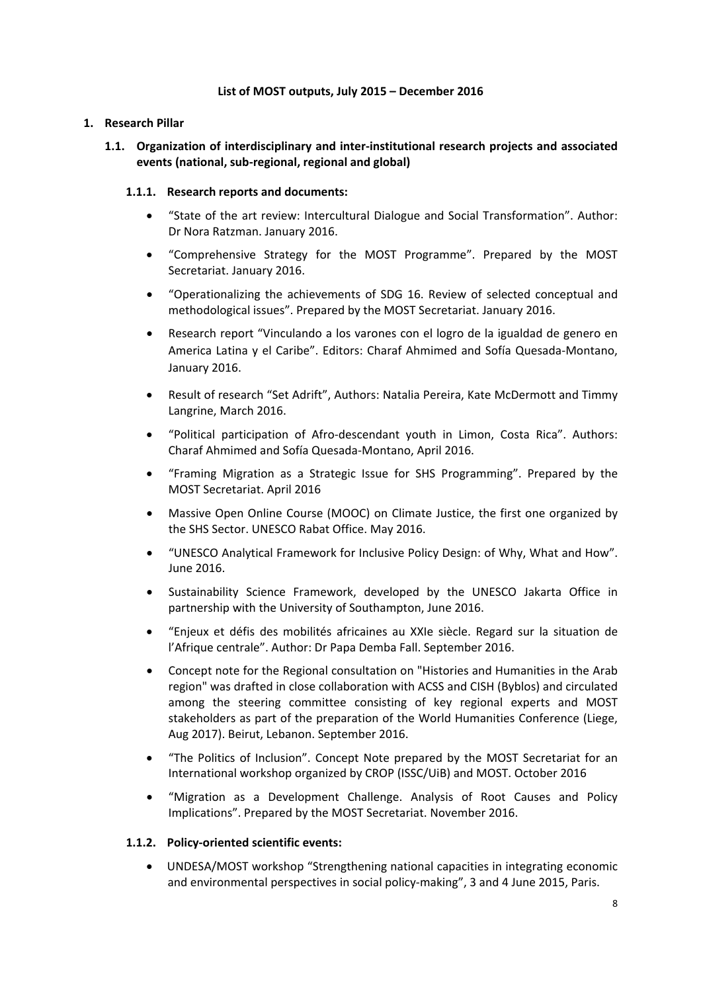#### **List of MOST outputs, July 2015 – December 2016**

### **1. Research Pillar**

## **1.1. Organization of interdisciplinary and inter‐institutional research projects and associated events (national, sub‐regional, regional and global)**

### **1.1.1. Research reports and documents:**

- "State of the art review: Intercultural Dialogue and Social Transformation". Author: Dr Nora Ratzman. January 2016.
- "Comprehensive Strategy for the MOST Programme". Prepared by the MOST Secretariat. January 2016.
- "Operationalizing the achievements of SDG 16. Review of selected conceptual and methodological issues". Prepared by the MOST Secretariat. January 2016.
- Research report "Vinculando a los varones con el logro de la igualdad de genero en America Latina y el Caribe". Editors: Charaf Ahmimed and Sofía Quesada‐Montano, January 2016.
- Result of research "Set Adrift", Authors: Natalia Pereira, Kate McDermott and Timmy Langrine, March 2016.
- "Political participation of Afro‐descendant youth in Limon, Costa Rica". Authors: Charaf Ahmimed and Sofía Quesada‐Montano, April 2016.
- "Framing Migration as a Strategic Issue for SHS Programming". Prepared by the MOST Secretariat. April 2016
- Massive Open Online Course (MOOC) on Climate Justice, the first one organized by the SHS Sector. UNESCO Rabat Office. May 2016.
- "UNESCO Analytical Framework for Inclusive Policy Design: of Why, What and How". June 2016.
- Sustainability Science Framework, developed by the UNESCO Jakarta Office in partnership with the University of Southampton, June 2016.
- "Enjeux et défis des mobilités africaines au XXIe siècle. Regard sur la situation de l'Afrique centrale". Author: Dr Papa Demba Fall. September 2016.
- Concept note for the Regional consultation on "Histories and Humanities in the Arab region" was drafted in close collaboration with ACSS and CISH (Byblos) and circulated among the steering committee consisting of key regional experts and MOST stakeholders as part of the preparation of the World Humanities Conference (Liege, Aug 2017). Beirut, Lebanon. September 2016.
- "The Politics of Inclusion". Concept Note prepared by the MOST Secretariat for an International workshop organized by CROP (ISSC/UiB) and MOST. October 2016
- "Migration as a Development Challenge. Analysis of Root Causes and Policy Implications". Prepared by the MOST Secretariat. November 2016.

#### **1.1.2. Policy‐oriented scientific events:**

 UNDESA/MOST workshop "Strengthening national capacities in integrating economic and environmental perspectives in social policy-making", 3 and 4 June 2015, Paris.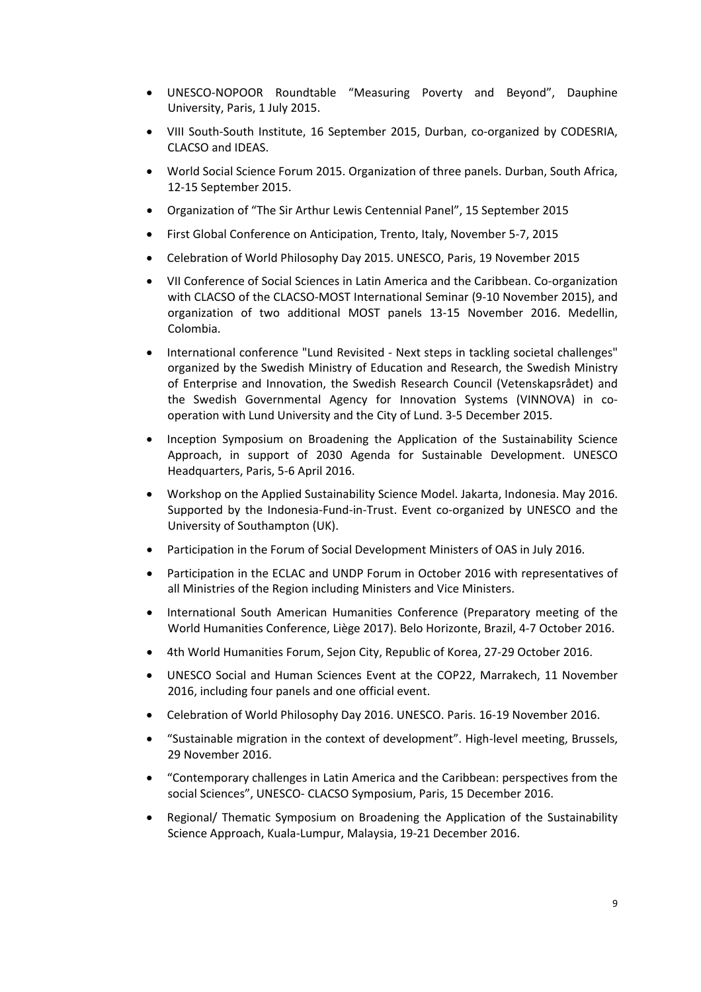- UNESCO‐NOPOOR Roundtable "Measuring Poverty and Beyond", Dauphine University, Paris, 1 July 2015.
- VIII South-South Institute, 16 September 2015, Durban, co-organized by CODESRIA, CLACSO and IDEAS.
- World Social Science Forum 2015. Organization of three panels. Durban, South Africa, 12‐15 September 2015.
- Organization of "The Sir Arthur Lewis Centennial Panel", 15 September 2015
- First Global Conference on Anticipation, Trento, Italy, November 5‐7, 2015
- Celebration of World Philosophy Day 2015. UNESCO, Paris, 19 November 2015
- VII Conference of Social Sciences in Latin America and the Caribbean. Co-organization with CLACSO of the CLACSO‐MOST International Seminar (9‐10 November 2015), and organization of two additional MOST panels 13‐15 November 2016. Medellin, Colombia.
- International conference "Lund Revisited Next steps in tackling societal challenges" organized by the Swedish Ministry of Education and Research, the Swedish Ministry of Enterprise and Innovation, the Swedish Research Council (Vetenskapsrådet) and the Swedish Governmental Agency for Innovation Systems (VINNOVA) in co‐ operation with Lund University and the City of Lund. 3‐5 December 2015.
- Inception Symposium on Broadening the Application of the Sustainability Science Approach, in support of 2030 Agenda for Sustainable Development. UNESCO Headquarters, Paris, 5‐6 April 2016.
- Workshop on the Applied Sustainability Science Model. Jakarta, Indonesia. May 2016. Supported by the Indonesia‐Fund‐in‐Trust. Event co‐organized by UNESCO and the University of Southampton (UK).
- Participation in the Forum of Social Development Ministers of OAS in July 2016.
- Participation in the ECLAC and UNDP Forum in October 2016 with representatives of all Ministries of the Region including Ministers and Vice Ministers.
- International South American Humanities Conference (Preparatory meeting of the World Humanities Conference, Liège 2017). Belo Horizonte, Brazil, 4‐7 October 2016.
- 4th World Humanities Forum, Sejon City, Republic of Korea, 27‐29 October 2016.
- UNESCO Social and Human Sciences Event at the COP22, Marrakech, 11 November 2016, including four panels and one official event.
- Celebration of World Philosophy Day 2016. UNESCO. Paris. 16‐19 November 2016.
- "Sustainable migration in the context of development". High‐level meeting, Brussels, 29 November 2016.
- "Contemporary challenges in Latin America and the Caribbean: perspectives from the social Sciences", UNESCO‐ CLACSO Symposium, Paris, 15 December 2016.
- Regional/ Thematic Symposium on Broadening the Application of the Sustainability Science Approach, Kuala‐Lumpur, Malaysia, 19‐21 December 2016.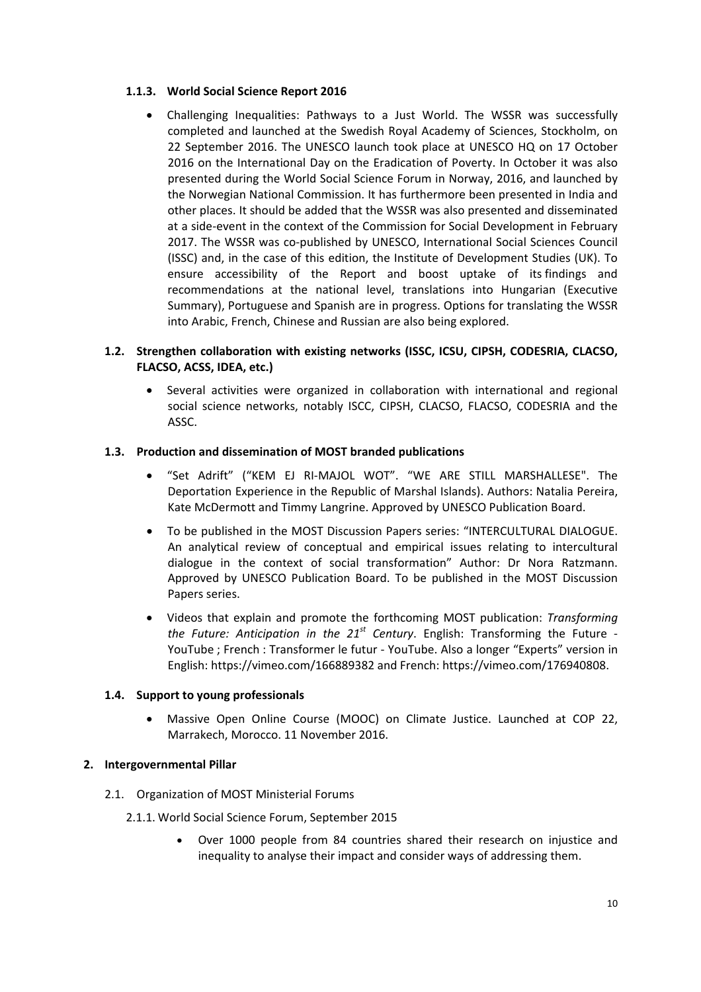### **1.1.3. World Social Science Report 2016**

 Challenging Inequalities: Pathways to a Just World. The WSSR was successfully completed and launched at the Swedish Royal Academy of Sciences, Stockholm, on 22 September 2016. The UNESCO launch took place at UNESCO HQ on 17 October 2016 on the International Day on the Eradication of Poverty. In October it was also presented during the World Social Science Forum in Norway, 2016, and launched by the Norwegian National Commission. It has furthermore been presented in India and other places. It should be added that the WSSR was also presented and disseminated at a side‐event in the context of the Commission for Social Development in February 2017. The WSSR was co-published by UNESCO, International Social Sciences Council (ISSC) and, in the case of this edition, the Institute of Development Studies (UK). To ensure accessibility of the Report and boost uptake of its findings and recommendations at the national level, translations into Hungarian (Executive Summary), Portuguese and Spanish are in progress. Options for translating the WSSR into Arabic, French, Chinese and Russian are also being explored.

### **1.2. Strengthen collaboration with existing networks (ISSC, ICSU, CIPSH, CODESRIA, CLACSO, FLACSO, ACSS, IDEA, etc.)**

 Several activities were organized in collaboration with international and regional social science networks, notably ISCC, CIPSH, CLACSO, FLACSO, CODESRIA and the ASSC.

### **1.3. Production and dissemination of MOST branded publications**

- "Set Adrift" ("KEM EJ RI‐MAJOL WOT". "WE ARE STILL MARSHALLESE". The Deportation Experience in the Republic of Marshal Islands). Authors: Natalia Pereira, Kate McDermott and Timmy Langrine. Approved by UNESCO Publication Board.
- To be published in the MOST Discussion Papers series: "INTERCULTURAL DIALOGUE. An analytical review of conceptual and empirical issues relating to intercultural dialogue in the context of social transformation" Author: Dr Nora Ratzmann. Approved by UNESCO Publication Board. To be published in the MOST Discussion Papers series.
- Videos that explain and promote the forthcoming MOST publication: *Transforming the Future: Anticipation in the 21st Century*. English: [Transforming](https://www.youtube.com/watch?v=h1QOxYMIFIc&feature=youtu.be) the Future ‐ [YouTube](https://www.youtube.com/watch?v=h1QOxYMIFIc&feature=youtu.be) ; French : [Transformer](https://www.youtube.com/watch?v=cCfuFoi0KcI&feature=youtu.be) le futur ‐ YouTube. Also a longer "Experts" version in English: <https://vimeo.com/166889382> and French: <https://vimeo.com/176940808>.

## **1.4. Support to young professionals**

 Massive Open Online Course (MOOC) on Climate Justice. Launched at COP 22, Marrakech, Morocco. 11 November 2016.

#### **2. Intergovernmental Pillar**

- 2.1. Organization of MOST Ministerial Forums
	- 2.1.1. World Social Science Forum, September 2015
		- Over 1000 people from 84 countries shared their research on injustice and inequality to analyse their impact and consider ways of addressing them.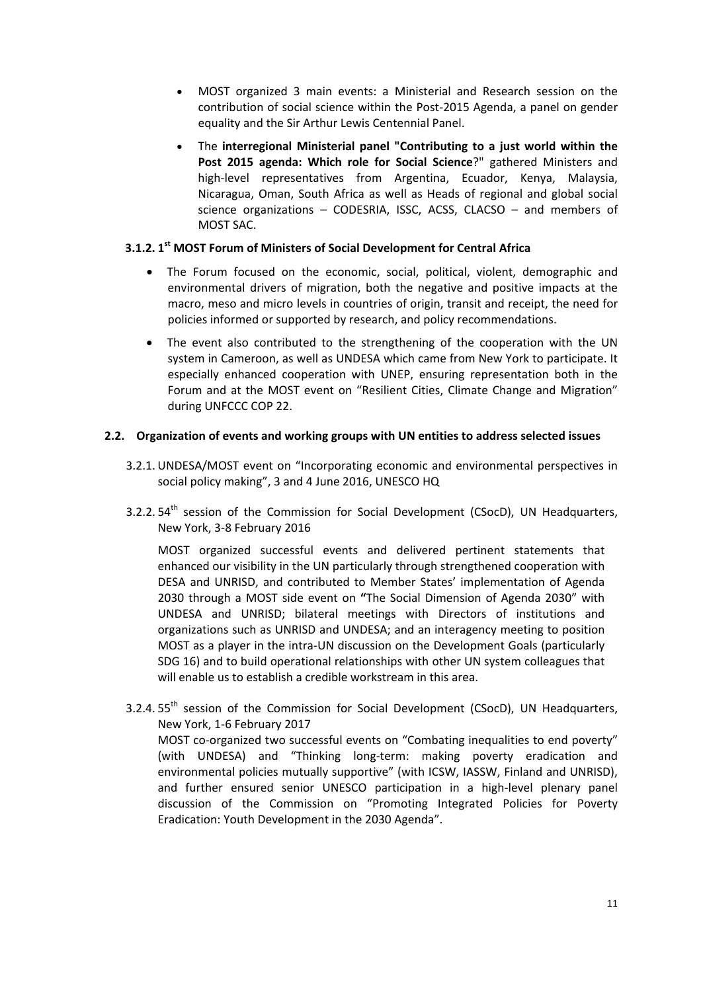- MOST organized 3 main events: a Ministerial and Research session on the contribution of social science within the Post‐2015 Agenda, a panel on gender equality and the Sir Arthur Lewis Centennial Panel.
- The **interregional Ministerial panel "Contributing to a just world within the Post 2015 agenda: Which role for Social Science**?" gathered Ministers and high-level representatives from Argentina, Ecuador, Kenya, Malaysia, Nicaragua, Oman, South Africa as well as Heads of regional and global social science organizations – CODESRIA, ISSC, ACSS, CLACSO – and members of MOST SAC.

## **3.1.2. 1st MOST Forum of Ministers of Social Development for Central Africa**

- The Forum focused on the economic, social, political, violent, demographic and environmental drivers of migration, both the negative and positive impacts at the macro, meso and micro levels in countries of origin, transit and receipt, the need for policies informed or supported by research, and policy recommendations.
- The event also contributed to the strengthening of the cooperation with the UN system in Cameroon, as well as UNDESA which came from New York to participate. It especially enhanced cooperation with UNEP, ensuring representation both in the Forum and at the MOST event on "Resilient Cities, Climate Change and Migration" during UNFCCC COP 22.

# **2.2. Organization of events and working groups with UN entities to address selected issues**

- 3.2.1. UNDESA/MOST event on "Incorporating economic and environmental perspectives in social policy making", 3 and 4 June 2016, UNESCO HQ
- 3.2.2. 54<sup>th</sup> session of the Commission for Social Development (CSocD), UN Headquarters, New York, 3‐8 February 2016

MOST organized successful events and delivered pertinent statements that enhanced our visibility in the UN particularly through strengthened cooperation with DESA and UNRISD, and contributed to Member States' implementation of Agenda 2030 through a MOST side event on **"**The Social Dimension of Agenda 2030" with UNDESA and UNRISD; bilateral meetings with Directors of institutions and organizations such as UNRISD and UNDESA; and an interagency meeting to position MOST as a player in the intra‐UN discussion on the Development Goals (particularly SDG 16) and to build operational relationships with other UN system colleagues that will enable us to establish a credible workstream in this area.

3.2.4. 55<sup>th</sup> session of the Commission for Social Development (CSocD), UN Headquarters, New York, 1‐6 February 2017 MOST co-organized two successful events on "Combating inequalities to end poverty" (with UNDESA) and "Thinking long‐term: making poverty eradication and environmental policies mutually supportive" (with ICSW, IASSW, Finland and UNRISD), and further ensured senior UNESCO participation in a high‐level plenary panel discussion of the Commission on "Promoting Integrated Policies for Poverty Eradication: Youth Development in the 2030 Agenda".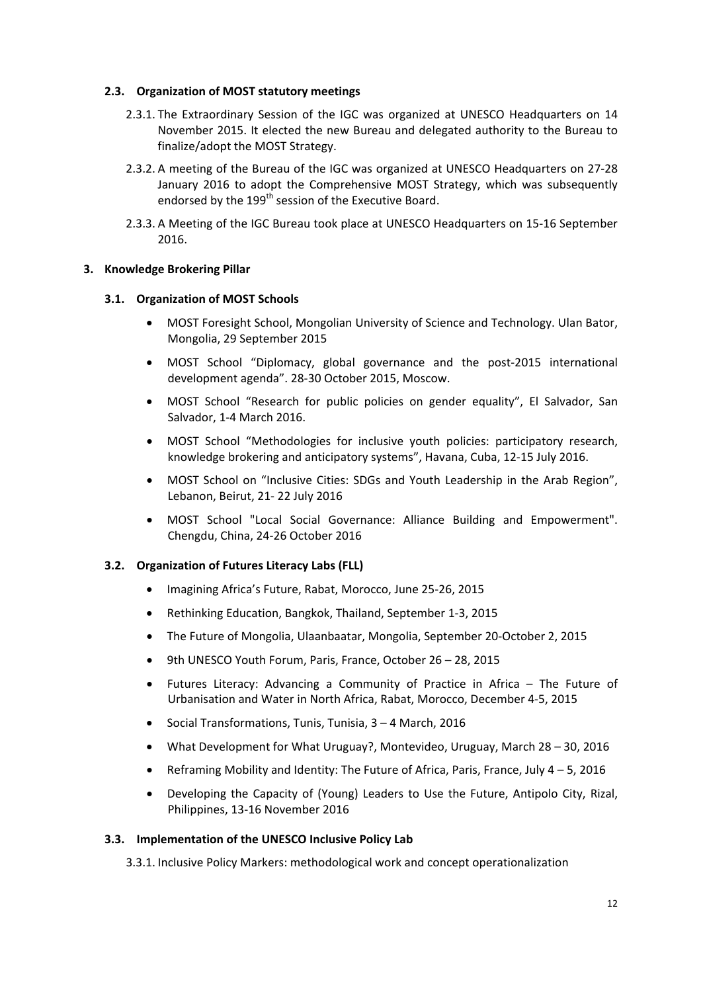#### **2.3. Organization of MOST statutory meetings**

- 2.3.1. The Extraordinary Session of the IGC was organized at UNESCO Headquarters on 14 November 2015. It elected the new Bureau and delegated authority to the Bureau to finalize/adopt the MOST Strategy.
- 2.3.2. A meeting of the Bureau of the IGC was organized at UNESCO Headquarters on 27‐28 January 2016 to adopt the Comprehensive MOST Strategy, which was subsequently endorsed by the 199<sup>th</sup> session of the Executive Board.
- 2.3.3. A Meeting of the IGC Bureau took place at UNESCO Headquarters on 15‐16 September 2016.

#### **3. Knowledge Brokering Pillar**

#### **3.1. Organization of MOST Schools**

- MOST Foresight School, Mongolian University of Science and Technology. Ulan Bator, Mongolia, 29 September 2015
- MOST School "Diplomacy, global governance and the post‐2015 international development agenda". 28‐30 October 2015, Moscow.
- MOST School "Research for public policies on gender equality", El Salvador, San Salvador, 1‐4 March 2016.
- MOST School "Methodologies for inclusive youth policies: participatory research, knowledge brokering and anticipatory systems", Havana, Cuba, 12‐15 July 2016.
- MOST School on "Inclusive Cities: SDGs and Youth Leadership in the Arab Region", Lebanon, Beirut, 21‐ 22 July 2016
- MOST School "Local Social Governance: Alliance Building and Empowerment". Chengdu, China, 24‐26 October 2016

#### **3.2. Organization of Futures Literacy Labs (FLL)**

- Imagining Africa's Future, Rabat, Morocco, June 25-26, 2015
- Rethinking Education, Bangkok, Thailand, September 1-3, 2015
- The Future of Mongolia, Ulaanbaatar, Mongolia, September 20-October 2, 2015
- 9th UNESCO Youth Forum, Paris, France, October 26 28, 2015
- Futures Literacy: Advancing a Community of Practice in Africa The Future of Urbanisation and Water in North Africa, Rabat, Morocco, December 4‐5, 2015
- Social Transformations, Tunis, Tunisia, 3 4 March, 2016
- What Development for What Uruguay?, Montevideo, Uruguay, March 28 30, 2016
- Reframing Mobility and Identity: The Future of Africa, Paris, France, July 4 5, 2016
- Developing the Capacity of (Young) Leaders to Use the Future, Antipolo City, Rizal, Philippines, 13‐16 November 2016

#### **3.3. Implementation of the UNESCO Inclusive Policy Lab**

3.3.1. Inclusive Policy Markers: methodological work and concept operationalization